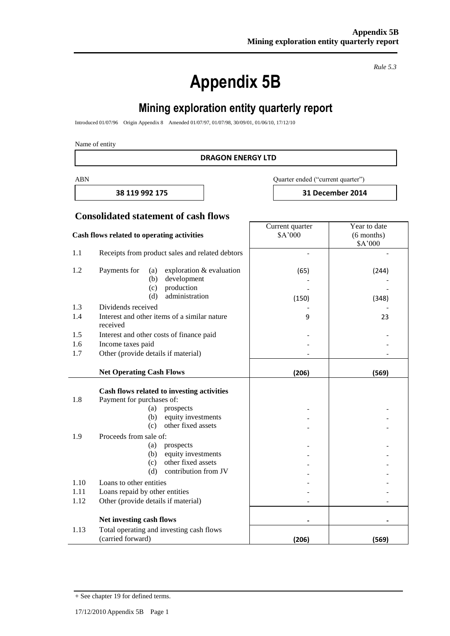# **Appendix 5B**

*Rule 5.3*

Year to date (6 months)

# **Mining exploration entity quarterly report**

Introduced 01/07/96 Origin Appendix 8 Amended 01/07/97, 01/07/98, 30/09/01, 01/06/10, 17/12/10

Name of entity

#### **DRAGON ENERGY LTD**

**38 119 992 175 31 December 2014**

ABN Quarter ended ("current quarter")

Current quarter \$A'000

# **Consolidated statement of cash flows**

#### **Cash flows related to operating activities**

|      |                                                        |       | \$A'000 |
|------|--------------------------------------------------------|-------|---------|
| 1.1  | Receipts from product sales and related debtors        |       |         |
| 1.2  | Payments for<br>exploration & evaluation<br>(a)        | (65)  | (244)   |
|      | (b)<br>development                                     |       |         |
|      | production<br>(c)<br>administration<br>(d)             |       |         |
| 1.3  | Dividends received                                     | (150) | (348)   |
| 1.4  | Interest and other items of a similar nature           | 9     | 23      |
|      | received                                               |       |         |
| 1.5  | Interest and other costs of finance paid               |       |         |
| 1.6  | Income taxes paid                                      |       |         |
| 1.7  | Other (provide details if material)                    |       |         |
|      | <b>Net Operating Cash Flows</b>                        | (206) | (569)   |
|      |                                                        |       |         |
|      | Cash flows related to investing activities             |       |         |
| 1.8  | Payment for purchases of:                              |       |         |
|      | (a)<br>prospects                                       |       |         |
|      | equity investments<br>(b)<br>other fixed assets<br>(c) |       |         |
| 1.9  | Proceeds from sale of:                                 |       |         |
|      | prospects<br>(a)                                       |       |         |
|      | equity investments<br>(b)                              |       |         |
|      | other fixed assets<br>(c)                              |       |         |
|      | (d)<br>contribution from JV                            |       |         |
| 1.10 | Loans to other entities                                |       |         |
| 1.11 | Loans repaid by other entities                         |       |         |
| 1.12 | Other (provide details if material)                    |       |         |
|      |                                                        |       |         |
|      | Net investing cash flows                               |       |         |
| 1.13 | Total operating and investing cash flows               |       |         |
|      | (carried forward)                                      | (206) | (569)   |

<sup>+</sup> See chapter 19 for defined terms.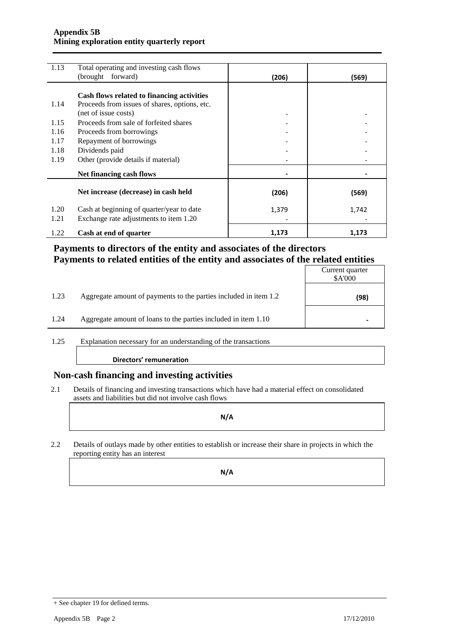| 1.13         | Total operating and investing cash flows<br>(brought)<br>forward)                                                   |       |       |
|--------------|---------------------------------------------------------------------------------------------------------------------|-------|-------|
|              |                                                                                                                     | (206) | (569) |
| 1.14         | Cash flows related to financing activities<br>Proceeds from issues of shares, options, etc.<br>(net of issue costs) |       |       |
| 1.15         | Proceeds from sale of forfeited shares                                                                              |       |       |
| 1.16         | Proceeds from borrowings                                                                                            |       |       |
| 1.17         | Repayment of borrowings                                                                                             |       |       |
| 1.18         | Dividends paid                                                                                                      |       |       |
| 1.19         | Other (provide details if material)                                                                                 |       |       |
|              | Net financing cash flows                                                                                            |       |       |
|              | Net increase (decrease) in cash held                                                                                | (206) | (569) |
| 1.20<br>1.21 | Cash at beginning of quarter/year to date<br>Exchange rate adjustments to item 1.20                                 | 1,379 | 1,742 |
| 1.22         | Cash at end of quarter                                                                                              | 1,173 | 1,173 |

### **Payments to directors of the entity and associates of the directors Payments to related entities of the entity and associates of the related entities**

|      |                                                                  | Current quarter<br>\$A'000 |
|------|------------------------------------------------------------------|----------------------------|
| 1.23 | Aggregate amount of payments to the parties included in item 1.2 | (98)                       |
| 1.24 | Aggregate amount of loans to the parties included in item 1.10   |                            |

1.25 Explanation necessary for an understanding of the transactions

#### **Directors' remuneration**

## **Non-cash financing and investing activities**

2.1 Details of financing and investing transactions which have had a material effect on consolidated assets and liabilities but did not involve cash flows

#### **N/A**

2.2 Details of outlays made by other entities to establish or increase their share in projects in which the reporting entity has an interest

**N/A**

<sup>+</sup> See chapter 19 for defined terms.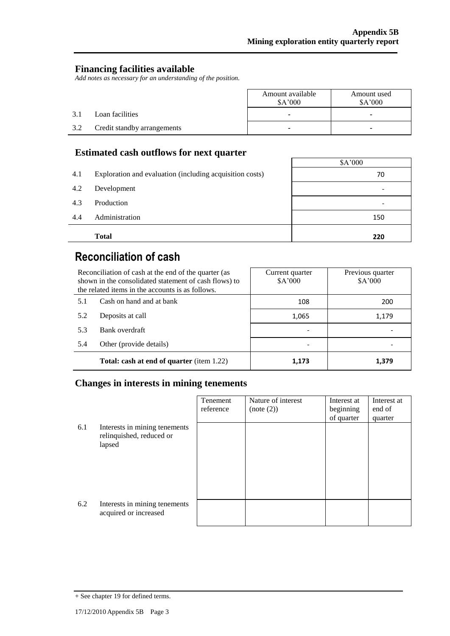### **Financing facilities available**

*Add notes as necessary for an understanding of the position.*

|     |                             | Amount available<br>\$A'000 | Amount used<br>\$A'000 |
|-----|-----------------------------|-----------------------------|------------------------|
| 3.1 | Loan facilities             | -                           | ۰                      |
| 3.2 | Credit standby arrangements |                             |                        |

 $\mathbf{r}$ 

## **Estimated cash outflows for next quarter**

|     |                                                          | \$A'000                  |
|-----|----------------------------------------------------------|--------------------------|
| 4.1 | Exploration and evaluation (including acquisition costs) | 70                       |
| 4.2 | Development                                              | $\overline{\phantom{a}}$ |
| 4.3 | Production                                               | $\overline{\phantom{a}}$ |
| 4.4 | Administration                                           | 150                      |
|     | <b>Total</b>                                             | 220                      |

# **Reconciliation of cash**

|                                 | Reconciliation of cash at the end of the quarter (as<br>shown in the consolidated statement of cash flows) to<br>the related items in the accounts is as follows. | Current quarter<br>\$A'000 | Previous quarter<br>\$A'000 |
|---------------------------------|-------------------------------------------------------------------------------------------------------------------------------------------------------------------|----------------------------|-----------------------------|
| Cash on hand and at bank<br>5.1 |                                                                                                                                                                   | 108                        | 200                         |
| 5.2                             | Deposits at call                                                                                                                                                  | 1,065                      | 1,179                       |
| 5.3                             | Bank overdraft                                                                                                                                                    |                            |                             |
| Other (provide details)<br>5.4  |                                                                                                                                                                   |                            |                             |
|                                 | Total: cash at end of quarter (item 1.22)                                                                                                                         | 1,173                      | 1,379                       |

# **Changes in interests in mining tenements**

|     |                                                                     | Tenement<br>reference | Nature of interest<br>(note (2)) | Interest at<br>beginning<br>of quarter | Interest at<br>end of<br>quarter |
|-----|---------------------------------------------------------------------|-----------------------|----------------------------------|----------------------------------------|----------------------------------|
| 6.1 | Interests in mining tenements<br>relinquished, reduced or<br>lapsed |                       |                                  |                                        |                                  |
| 6.2 | Interests in mining tenements<br>acquired or increased              |                       |                                  |                                        |                                  |

<sup>+</sup> See chapter 19 for defined terms.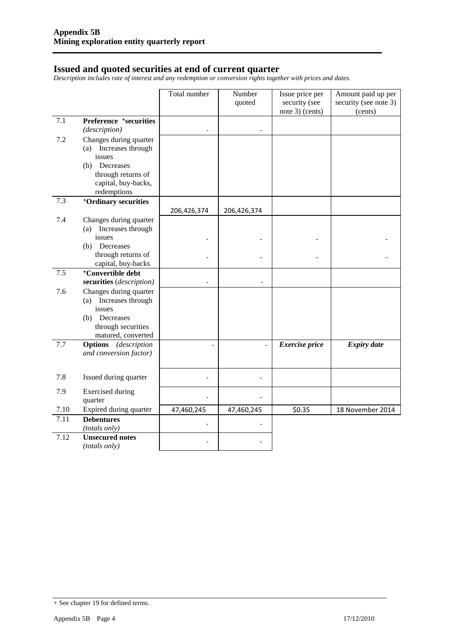#### **Issued and quoted securities at end of current quarter**

*Description includes rate of interest and any redemption or conversion rights together with prices and dates.*

|      |                                                                                                                        | Total number | Number         | Issue price per       | Amount paid up per    |
|------|------------------------------------------------------------------------------------------------------------------------|--------------|----------------|-----------------------|-----------------------|
|      |                                                                                                                        |              | quoted         | security (see         | security (see note 3) |
|      |                                                                                                                        |              |                | note 3) (cents)       | (cents)               |
| 7.1  | Preference <sup>+</sup> securities<br>(description)                                                                    |              |                |                       |                       |
| 7.2  | Changes during quarter<br>(a) Increases through<br>issues<br>(b) Decreases                                             |              |                |                       |                       |
|      | through returns of<br>capital, buy-backs,<br>redemptions                                                               |              |                |                       |                       |
| 7.3  | <sup>+</sup> Ordinary securities                                                                                       |              |                |                       |                       |
|      |                                                                                                                        | 206,426,374  | 206,426,374    |                       |                       |
| 7.4  | Changes during quarter<br>(a) Increases through<br>issues                                                              |              |                |                       |                       |
|      | Decreases<br>(b)                                                                                                       |              |                |                       |                       |
|      | through returns of                                                                                                     |              |                |                       |                       |
|      | capital, buy-backs                                                                                                     |              |                |                       |                       |
| 7.5  | <sup>+</sup> Convertible debt<br>securities (description)                                                              |              |                |                       |                       |
| 7.6  | Changes during quarter<br>(a) Increases through<br>issues<br>(b) Decreases<br>through securities<br>matured, converted |              |                |                       |                       |
| 7.7  | <b>Options</b><br>(description<br>and conversion factor)                                                               |              | $\overline{a}$ | <b>Exercise</b> price | <b>Expiry date</b>    |
| 7.8  | Issued during quarter                                                                                                  |              |                |                       |                       |
| 7.9  | <b>Exercised</b> during<br>quarter                                                                                     |              |                |                       |                       |
| 7.10 | Expired during quarter                                                                                                 | 47,460,245   | 47,460,245     | \$0.35                | 18 November 2014      |
| 7.11 | <b>Debentures</b><br>(totals only)                                                                                     |              |                |                       |                       |
| 7.12 | <b>Unsecured notes</b><br>(totals only)                                                                                |              |                |                       |                       |

<sup>+</sup> See chapter 19 for defined terms.